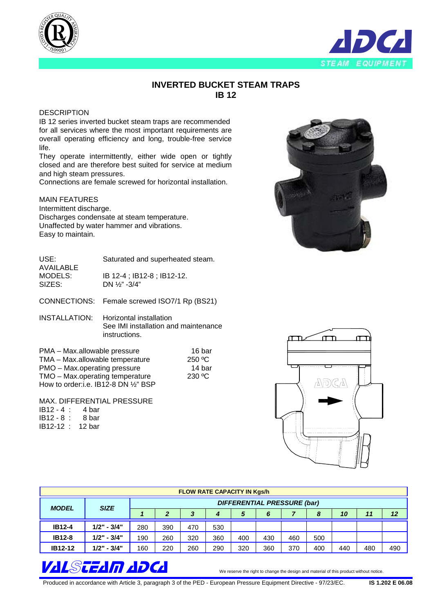



## **INVERTED BUCKET STEAM TRAPS IB 12**

## **DESCRIPTION**

IB 12 series inverted bucket steam traps are recommended for all services where the most important requirements are overall operating efficiency and long, trouble-free service life.

They operate intermittently, either wide open or tightly closed and are therefore best suited for service at medium and high steam pressures.

Connections are female screwed for horizontal installation.

## MAIN FEATURES

Intermittent discharge. Discharges condensate at steam temperature. Unaffected by water hammer and vibrations. Easy to maintain.

USE: AVAILABLE MODELS: SIZES: Saturated and superheated steam. IB 12-4 ; IB12-8 ; IB12-12. DN ½" -3/4"

CONNECTIONS: Female screwed ISO7/1 Rp (BS21)

INSTALLATION: Horizontal installation See IMI installation and maintenance instructions.

PMA – Max.allowable pressure TMA – Max.allowable temperature PMO – Max.operating pressure TMO – Max.operating temperature How to order:i.e. IB12-8 DN ½" BSP

MAX. DIFFERENTIAL PRESSURE IB12 - 4 : 4 bar IB12 - 8 : 8 bar IB12-12 : 12 bar



| <b>FLOW RATE CAPACITY IN Kgs/h</b> |               |                                    |     |     |     |     |     |     |     |     |     |     |
|------------------------------------|---------------|------------------------------------|-----|-----|-----|-----|-----|-----|-----|-----|-----|-----|
| <b>MODEL</b>                       | <b>SIZE</b>   | <b>DIFFERENTIAL PRESSURE (bar)</b> |     |     |     |     |     |     |     |     |     |     |
|                                    |               |                                    | 2   |     |     | 5   | 6   |     | 8   | 10  | 11  | 12  |
| <b>IB12-4</b>                      | $1/2" - 3/4"$ | 280                                | 390 | 470 | 530 |     |     |     |     |     |     |     |
| <b>IB12-8</b>                      | $1/2" - 3/4"$ | 190                                | 260 | 320 | 360 | 400 | 430 | 460 | 500 |     |     |     |
| <b>IB12-12</b>                     | $1/2" - 3/4"$ | 160                                | 220 | 260 | 290 | 320 | 360 | 370 | 400 | 440 | 480 | 490 |



Produced in accordance with Article 3, paragraph 3 of the PED - European Pressure Equipment Directive - 97/23/EC. **IS 1.202 E 06.08** 

 16 bar 250 ºC 14 bar 230 ºC